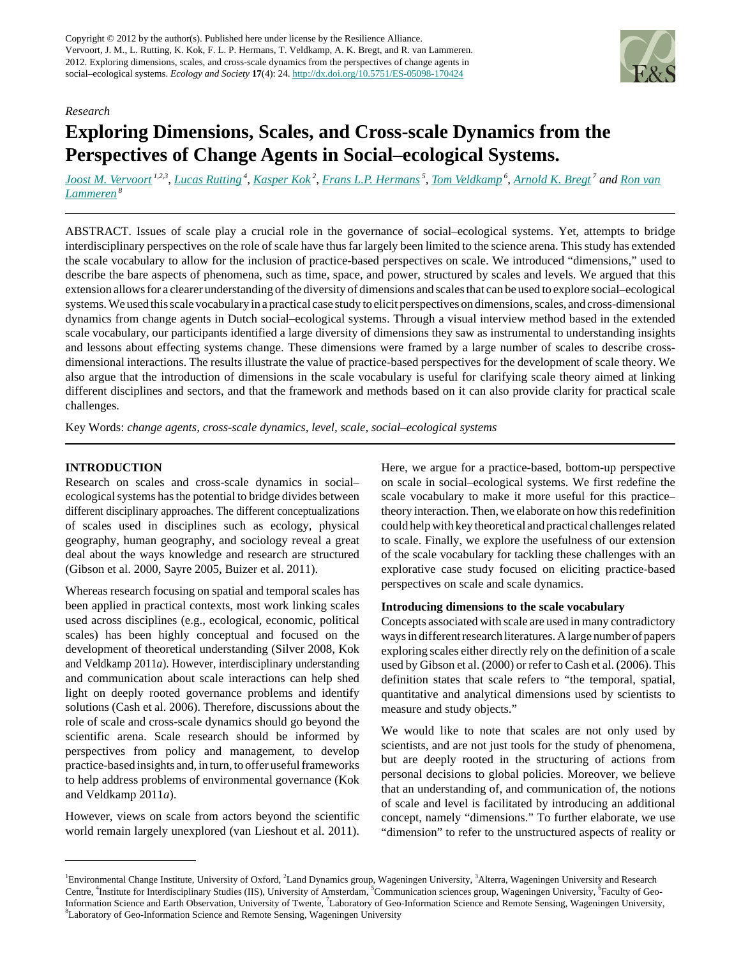# *Research*

# **Exploring Dimensions, Scales, and Cross-scale Dynamics from the Perspectives of Change Agents in Social–ecological Systems.**

*[Joost M. Vervoort](mailto:joost.vervoort@eci.ox.ac.uk) 1,2,3* , *[Lucas Rutting](mailto:l.rutting@uva.nl)<sup>4</sup>* , *[Kasper Kok](mailto:Kasper.Kok@wur.nl)<sup>2</sup>* , *[Frans L.P. Hermans](mailto:frans.hermans@wur.nl)<sup>5</sup>* , *[Tom Veldkamp](mailto:veldkamp@itc.nl)<sup>6</sup>* , *[Arnold K. Bregt](mailto:arnold.bregt@wur.nl)<sup>7</sup> and [Ron van](mailto:ron.vanlammeren@wur.nl) [Lammeren](mailto:ron.vanlammeren@wur.nl)<sup>8</sup>*

ABSTRACT. Issues of scale play a crucial role in the governance of social–ecological systems. Yet, attempts to bridge interdisciplinary perspectives on the role of scale have thus far largely been limited to the science arena. This study has extended the scale vocabulary to allow for the inclusion of practice-based perspectives on scale. We introduced "dimensions," used to describe the bare aspects of phenomena, such as time, space, and power, structured by scales and levels. We argued that this extension allows for a clearer understanding of the diversity of dimensions and scales that can be used to explore social–ecological systems. We used this scale vocabulary in a practical case study to elicit perspectives on dimensions, scales, and cross-dimensional dynamics from change agents in Dutch social–ecological systems. Through a visual interview method based in the extended scale vocabulary, our participants identified a large diversity of dimensions they saw as instrumental to understanding insights and lessons about effecting systems change. These dimensions were framed by a large number of scales to describe crossdimensional interactions. The results illustrate the value of practice-based perspectives for the development of scale theory. We also argue that the introduction of dimensions in the scale vocabulary is useful for clarifying scale theory aimed at linking different disciplines and sectors, and that the framework and methods based on it can also provide clarity for practical scale challenges.

Key Words: *change agents, cross-scale dynamics, level, scale, social–ecological systems*

# **INTRODUCTION**

Research on scales and cross-scale dynamics in social– ecological systems has the potential to bridge divides between different disciplinary approaches. The different conceptualizations of scales used in disciplines such as ecology, physical geography, human geography, and sociology reveal a great deal about the ways knowledge and research are structured (Gibson et al. 2000, Sayre 2005, Buizer et al. 2011).

Whereas research focusing on spatial and temporal scales has been applied in practical contexts, most work linking scales used across disciplines (e.g., ecological, economic, political scales) has been highly conceptual and focused on the development of theoretical understanding (Silver 2008, Kok and Veldkamp 2011*a*). However, interdisciplinary understanding and communication about scale interactions can help shed light on deeply rooted governance problems and identify solutions (Cash et al. 2006). Therefore, discussions about the role of scale and cross-scale dynamics should go beyond the scientific arena. Scale research should be informed by perspectives from policy and management, to develop practice-based insights and, in turn, to offer useful frameworks to help address problems of environmental governance (Kok and Veldkamp 2011*a*).

However, views on scale from actors beyond the scientific world remain largely unexplored (van Lieshout et al. 2011). Here, we argue for a practice-based, bottom-up perspective on scale in social–ecological systems. We first redefine the scale vocabulary to make it more useful for this practice– theory interaction. Then, we elaborate on how this redefinition could help with key theoretical and practical challenges related to scale. Finally, we explore the usefulness of our extension of the scale vocabulary for tackling these challenges with an explorative case study focused on eliciting practice-based perspectives on scale and scale dynamics.

#### **Introducing dimensions to the scale vocabulary**

Concepts associated with scale are used in many contradictory ways in different research literatures. A large number of papers exploring scales either directly rely on the definition of a scale used by Gibson et al. (2000) or refer to Cash et al. (2006). This definition states that scale refers to "the temporal, spatial, quantitative and analytical dimensions used by scientists to measure and study objects."

We would like to note that scales are not only used by scientists, and are not just tools for the study of phenomena, but are deeply rooted in the structuring of actions from personal decisions to global policies. Moreover, we believe that an understanding of, and communication of, the notions of scale and level is facilitated by introducing an additional concept, namely "dimensions." To further elaborate, we use "dimension" to refer to the unstructured aspects of reality or



<sup>&</sup>lt;sup>1</sup> Environmental Change Institute, University of Oxford, <sup>2</sup>Land Dynamics group, Wageningen University, <sup>3</sup> Alterra, Wageningen University and Research Centre, <sup>4</sup>Institute for Interdisciplinary Studies (IIS), University of Amsterdam, <sup>5</sup>Communication sciences group, Wageningen University, <sup>6</sup>Faculty of Geo-Information Science and Earth Observation, University of Twente, <sup>7</sup>Laboratory of Geo-Information Science and Remote Sensing, Wageningen University, <sup>8</sup>Laboratory of Geo-Information Science and Remote Sensing, Wageningen University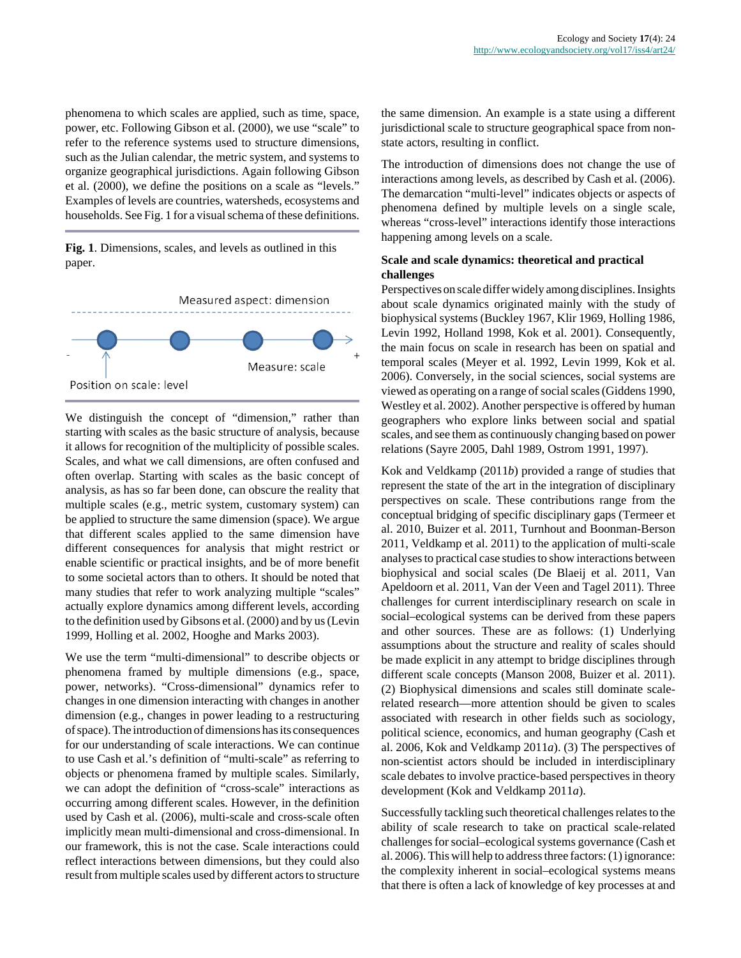phenomena to which scales are applied, such as time, space, power, etc. Following Gibson et al. (2000), we use "scale" to refer to the reference systems used to structure dimensions, such as the Julian calendar, the metric system, and systems to organize geographical jurisdictions. Again following Gibson et al. (2000), we define the positions on a scale as "levels." Examples of levels are countries, watersheds, ecosystems and households. See Fig. 1 for a visual schema of these definitions.

**Fig. 1**. Dimensions, scales, and levels as outlined in this paper.



We distinguish the concept of "dimension," rather than starting with scales as the basic structure of analysis, because it allows for recognition of the multiplicity of possible scales. Scales, and what we call dimensions, are often confused and often overlap. Starting with scales as the basic concept of analysis, as has so far been done, can obscure the reality that multiple scales (e.g., metric system, customary system) can be applied to structure the same dimension (space). We argue that different scales applied to the same dimension have different consequences for analysis that might restrict or enable scientific or practical insights, and be of more benefit to some societal actors than to others. It should be noted that many studies that refer to work analyzing multiple "scales" actually explore dynamics among different levels, according to the definition used by Gibsons et al. (2000) and by us (Levin 1999, Holling et al. 2002, Hooghe and Marks 2003).

We use the term "multi-dimensional" to describe objects or phenomena framed by multiple dimensions (e.g., space, power, networks). "Cross-dimensional" dynamics refer to changes in one dimension interacting with changes in another dimension (e.g., changes in power leading to a restructuring of space). The introduction of dimensions has its consequences for our understanding of scale interactions. We can continue to use Cash et al.'s definition of "multi-scale" as referring to objects or phenomena framed by multiple scales. Similarly, we can adopt the definition of "cross-scale" interactions as occurring among different scales. However, in the definition used by Cash et al. (2006), multi-scale and cross-scale often implicitly mean multi-dimensional and cross-dimensional. In our framework, this is not the case. Scale interactions could reflect interactions between dimensions, but they could also result from multiple scales used by different actors to structure the same dimension. An example is a state using a different jurisdictional scale to structure geographical space from nonstate actors, resulting in conflict.

The introduction of dimensions does not change the use of interactions among levels, as described by Cash et al. (2006). The demarcation "multi-level" indicates objects or aspects of phenomena defined by multiple levels on a single scale, whereas "cross-level" interactions identify those interactions happening among levels on a scale.

# **Scale and scale dynamics: theoretical and practical challenges**

Perspectives on scale differ widely among disciplines. Insights about scale dynamics originated mainly with the study of biophysical systems (Buckley 1967, Klir 1969, Holling 1986, Levin 1992, Holland 1998, Kok et al. 2001). Consequently, the main focus on scale in research has been on spatial and temporal scales (Meyer et al. 1992, Levin 1999, Kok et al. 2006). Conversely, in the social sciences, social systems are viewed as operating on a range of social scales (Giddens 1990, Westley et al. 2002). Another perspective is offered by human geographers who explore links between social and spatial scales, and see them as continuously changing based on power relations (Sayre 2005, Dahl 1989, Ostrom 1991, 1997).

Kok and Veldkamp (2011*b*) provided a range of studies that represent the state of the art in the integration of disciplinary perspectives on scale. These contributions range from the conceptual bridging of specific disciplinary gaps (Termeer et al. 2010, Buizer et al. 2011, Turnhout and Boonman-Berson 2011, Veldkamp et al. 2011) to the application of multi-scale analyses to practical case studies to show interactions between biophysical and social scales (De Blaeij et al. 2011, Van Apeldoorn et al. 2011, Van der Veen and Tagel 2011). Three challenges for current interdisciplinary research on scale in social–ecological systems can be derived from these papers and other sources. These are as follows: (1) Underlying assumptions about the structure and reality of scales should be made explicit in any attempt to bridge disciplines through different scale concepts (Manson 2008, Buizer et al. 2011). (2) Biophysical dimensions and scales still dominate scalerelated research—more attention should be given to scales associated with research in other fields such as sociology, political science, economics, and human geography (Cash et al. 2006, Kok and Veldkamp 2011*a*). (3) The perspectives of non-scientist actors should be included in interdisciplinary scale debates to involve practice-based perspectives in theory development (Kok and Veldkamp 2011*a*).

Successfully tackling such theoretical challenges relates to the ability of scale research to take on practical scale-related challenges for social–ecological systems governance (Cash et al. 2006). This will help to address three factors: (1) ignorance: the complexity inherent in social–ecological systems means that there is often a lack of knowledge of key processes at and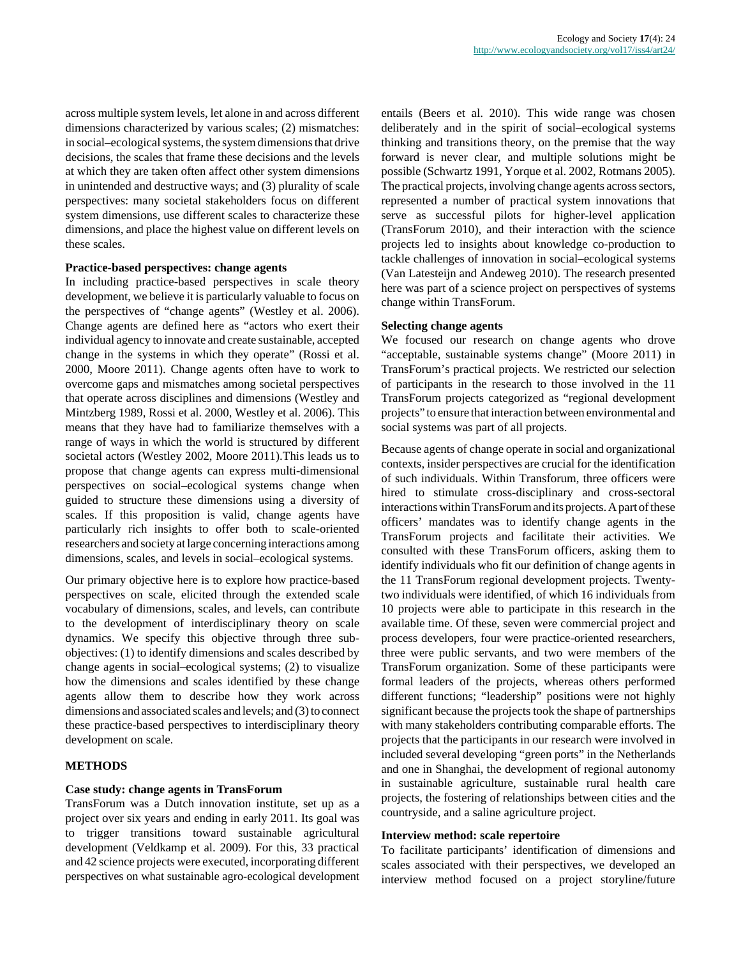across multiple system levels, let alone in and across different dimensions characterized by various scales; (2) mismatches: in social–ecological systems, the system dimensions that drive decisions, the scales that frame these decisions and the levels at which they are taken often affect other system dimensions in unintended and destructive ways; and (3) plurality of scale perspectives: many societal stakeholders focus on different system dimensions, use different scales to characterize these dimensions, and place the highest value on different levels on these scales.

# **Practice-based perspectives: change agents**

In including practice-based perspectives in scale theory development, we believe it is particularly valuable to focus on the perspectives of "change agents" (Westley et al. 2006). Change agents are defined here as "actors who exert their individual agency to innovate and create sustainable, accepted change in the systems in which they operate" (Rossi et al. 2000, Moore 2011). Change agents often have to work to overcome gaps and mismatches among societal perspectives that operate across disciplines and dimensions (Westley and Mintzberg 1989, Rossi et al. 2000, Westley et al. 2006). This means that they have had to familiarize themselves with a range of ways in which the world is structured by different societal actors (Westley 2002, Moore 2011).This leads us to propose that change agents can express multi-dimensional perspectives on social–ecological systems change when guided to structure these dimensions using a diversity of scales. If this proposition is valid, change agents have particularly rich insights to offer both to scale-oriented researchers and society at large concerning interactions among dimensions, scales, and levels in social–ecological systems.

Our primary objective here is to explore how practice-based perspectives on scale, elicited through the extended scale vocabulary of dimensions, scales, and levels, can contribute to the development of interdisciplinary theory on scale dynamics. We specify this objective through three subobjectives: (1) to identify dimensions and scales described by change agents in social–ecological systems; (2) to visualize how the dimensions and scales identified by these change agents allow them to describe how they work across dimensions and associated scales and levels; and (3) to connect these practice-based perspectives to interdisciplinary theory development on scale.

# **METHODS**

# **Case study: change agents in TransForum**

TransForum was a Dutch innovation institute, set up as a project over six years and ending in early 2011. Its goal was to trigger transitions toward sustainable agricultural development (Veldkamp et al. 2009). For this, 33 practical and 42 science projects were executed, incorporating different perspectives on what sustainable agro-ecological development entails (Beers et al. 2010). This wide range was chosen deliberately and in the spirit of social–ecological systems thinking and transitions theory, on the premise that the way forward is never clear, and multiple solutions might be possible (Schwartz 1991, Yorque et al. 2002, Rotmans 2005). The practical projects, involving change agents across sectors, represented a number of practical system innovations that serve as successful pilots for higher-level application (TransForum 2010), and their interaction with the science projects led to insights about knowledge co-production to tackle challenges of innovation in social–ecological systems (Van Latesteijn and Andeweg 2010). The research presented here was part of a science project on perspectives of systems change within TransForum.

# **Selecting change agents**

We focused our research on change agents who drove "acceptable, sustainable systems change" (Moore 2011) in TransForum's practical projects. We restricted our selection of participants in the research to those involved in the 11 TransForum projects categorized as "regional development projects" to ensure that interaction between environmental and social systems was part of all projects.

Because agents of change operate in social and organizational contexts, insider perspectives are crucial for the identification of such individuals. Within Transforum, three officers were hired to stimulate cross-disciplinary and cross-sectoral interactions within TransForum and its projects. A part of these officers' mandates was to identify change agents in the TransForum projects and facilitate their activities. We consulted with these TransForum officers, asking them to identify individuals who fit our definition of change agents in the 11 TransForum regional development projects. Twentytwo individuals were identified, of which 16 individuals from 10 projects were able to participate in this research in the available time. Of these, seven were commercial project and process developers, four were practice-oriented researchers, three were public servants, and two were members of the TransForum organization. Some of these participants were formal leaders of the projects, whereas others performed different functions; "leadership" positions were not highly significant because the projects took the shape of partnerships with many stakeholders contributing comparable efforts. The projects that the participants in our research were involved in included several developing "green ports" in the Netherlands and one in Shanghai, the development of regional autonomy in sustainable agriculture, sustainable rural health care projects, the fostering of relationships between cities and the countryside, and a saline agriculture project.

# **Interview method: scale repertoire**

To facilitate participants' identification of dimensions and scales associated with their perspectives, we developed an interview method focused on a project storyline/future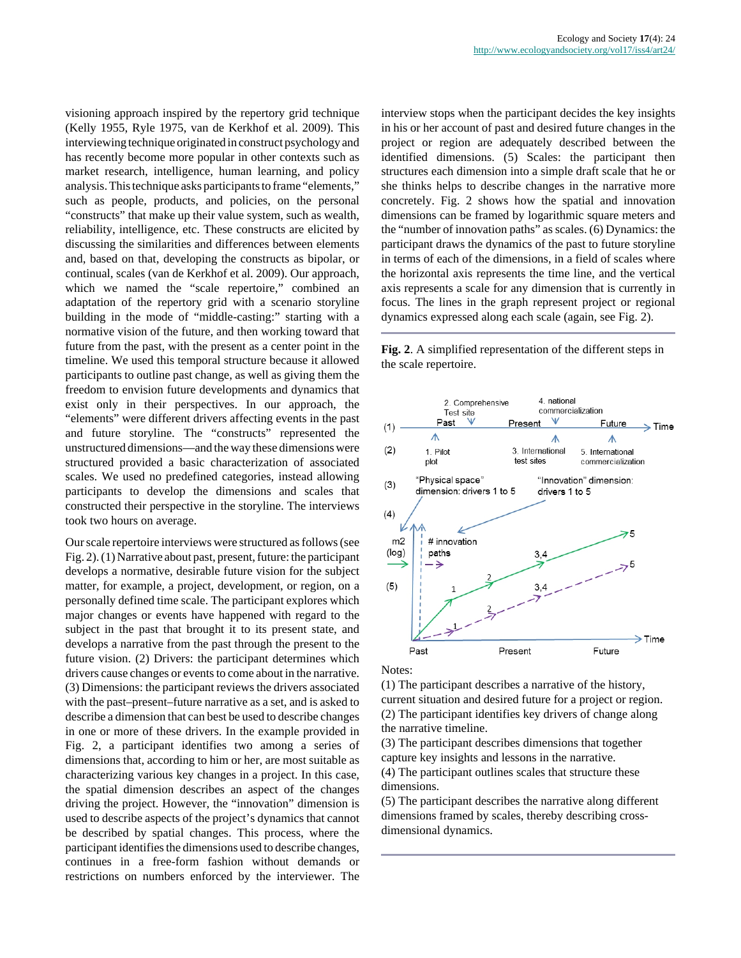visioning approach inspired by the repertory grid technique (Kelly 1955, Ryle 1975, van de Kerkhof et al. 2009). This interviewing technique originated in construct psychology and has recently become more popular in other contexts such as market research, intelligence, human learning, and policy analysis. This technique asks participants to frame "elements," such as people, products, and policies, on the personal "constructs" that make up their value system, such as wealth, reliability, intelligence, etc. These constructs are elicited by discussing the similarities and differences between elements and, based on that, developing the constructs as bipolar, or continual, scales (van de Kerkhof et al. 2009). Our approach, which we named the "scale repertoire," combined an adaptation of the repertory grid with a scenario storyline building in the mode of "middle-casting:" starting with a normative vision of the future, and then working toward that future from the past, with the present as a center point in the timeline. We used this temporal structure because it allowed participants to outline past change, as well as giving them the freedom to envision future developments and dynamics that exist only in their perspectives. In our approach, the "elements" were different drivers affecting events in the past and future storyline. The "constructs" represented the unstructured dimensions—and the way these dimensions were structured provided a basic characterization of associated scales. We used no predefined categories, instead allowing participants to develop the dimensions and scales that constructed their perspective in the storyline. The interviews took two hours on average.

Our scale repertoire interviews were structured as follows (see Fig. 2). (1) Narrative about past, present, future: the participant develops a normative, desirable future vision for the subject matter, for example, a project, development, or region, on a personally defined time scale. The participant explores which major changes or events have happened with regard to the subject in the past that brought it to its present state, and develops a narrative from the past through the present to the future vision. (2) Drivers: the participant determines which drivers cause changes or events to come about in the narrative. (3) Dimensions: the participant reviews the drivers associated with the past–present–future narrative as a set, and is asked to describe a dimension that can best be used to describe changes in one or more of these drivers. In the example provided in Fig. 2, a participant identifies two among a series of dimensions that, according to him or her, are most suitable as characterizing various key changes in a project. In this case, the spatial dimension describes an aspect of the changes driving the project. However, the "innovation" dimension is used to describe aspects of the project's dynamics that cannot be described by spatial changes. This process, where the participant identifies the dimensions used to describe changes, continues in a free-form fashion without demands or restrictions on numbers enforced by the interviewer. The interview stops when the participant decides the key insights in his or her account of past and desired future changes in the project or region are adequately described between the identified dimensions. (5) Scales: the participant then structures each dimension into a simple draft scale that he or she thinks helps to describe changes in the narrative more concretely. Fig. 2 shows how the spatial and innovation dimensions can be framed by logarithmic square meters and the "number of innovation paths" as scales. (6) Dynamics: the participant draws the dynamics of the past to future storyline in terms of each of the dimensions, in a field of scales where the horizontal axis represents the time line, and the vertical axis represents a scale for any dimension that is currently in focus. The lines in the graph represent project or regional dynamics expressed along each scale (again, see Fig. 2).

**Fig. 2**. A simplified representation of the different steps in the scale repertoire.



Notes:

(1) The participant describes a narrative of the history, current situation and desired future for a project or region. (2) The participant identifies key drivers of change along the narrative timeline.

(3) The participant describes dimensions that together capture key insights and lessons in the narrative. (4) The participant outlines scales that structure these dimensions.

(5) The participant describes the narrative along different dimensions framed by scales, thereby describing crossdimensional dynamics.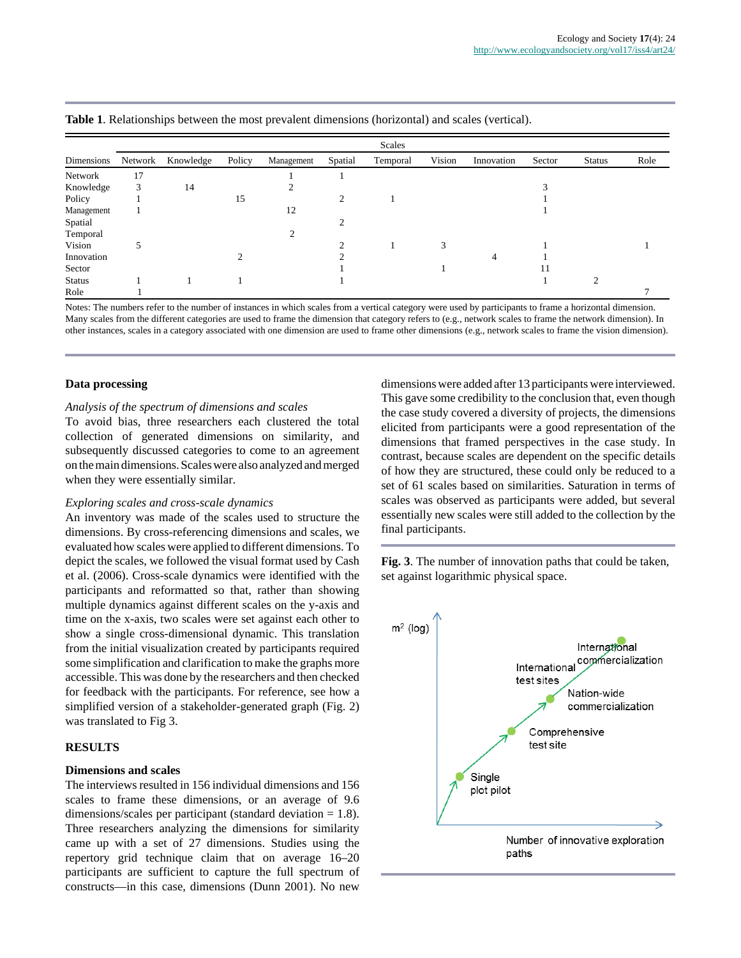| Dimensions    | Scales  |           |        |            |         |          |        |            |        |               |      |
|---------------|---------|-----------|--------|------------|---------|----------|--------|------------|--------|---------------|------|
|               | Network | Knowledge | Policy | Management | Spatial | Temporal | Vision | Innovation | Sector | <b>Status</b> | Role |
| Network       | 17      |           |        |            |         |          |        |            |        |               |      |
| Knowledge     | 3       | 14        |        | 2          |         |          |        |            | ⌒      |               |      |
| Policy        |         |           | 15     |            |         |          |        |            |        |               |      |
| Management    |         |           |        | 12         |         |          |        |            |        |               |      |
| Spatial       |         |           |        |            |         |          |        |            |        |               |      |
| Temporal      |         |           |        |            |         |          |        |            |        |               |      |
| Vision        | 5       |           |        |            |         |          | 3      |            |        |               |      |
| Innovation    |         |           |        |            |         |          |        | 4          |        |               |      |
| Sector        |         |           |        |            |         |          |        |            | 11     |               |      |
| <b>Status</b> |         |           |        |            |         |          |        |            |        |               |      |
| Role          |         |           |        |            |         |          |        |            |        |               |      |

**Table 1**. Relationships between the most prevalent dimensions (horizontal) and scales (vertical).

Notes: The numbers refer to the number of instances in which scales from a vertical category were used by participants to frame a horizontal dimension. Many scales from the different categories are used to frame the dimension that category refers to (e.g., network scales to frame the network dimension). In other instances, scales in a category associated with one dimension are used to frame other dimensions (e.g., network scales to frame the vision dimension).

# **Data processing**

#### *Analysis of the spectrum of dimensions and scales*

To avoid bias, three researchers each clustered the total collection of generated dimensions on similarity, and subsequently discussed categories to come to an agreement on the main dimensions. Scales were also analyzed and merged when they were essentially similar.

### *Exploring scales and cross-scale dynamics*

An inventory was made of the scales used to structure the dimensions. By cross-referencing dimensions and scales, we evaluated how scales were applied to different dimensions. To depict the scales, we followed the visual format used by Cash et al. (2006). Cross-scale dynamics were identified with the participants and reformatted so that, rather than showing multiple dynamics against different scales on the y-axis and time on the x-axis, two scales were set against each other to show a single cross-dimensional dynamic. This translation from the initial visualization created by participants required some simplification and clarification to make the graphs more accessible. This was done by the researchers and then checked for feedback with the participants. For reference, see how a simplified version of a stakeholder-generated graph (Fig. 2) was translated to Fig 3.

#### **RESULTS**

## **Dimensions and scales**

The interviews resulted in 156 individual dimensions and 156 scales to frame these dimensions, or an average of 9.6 dimensions/scales per participant (standard deviation = 1.8). Three researchers analyzing the dimensions for similarity came up with a set of 27 dimensions. Studies using the repertory grid technique claim that on average 16–20 participants are sufficient to capture the full spectrum of constructs—in this case, dimensions (Dunn 2001). No new dimensions were added after 13 participants were interviewed. This gave some credibility to the conclusion that, even though the case study covered a diversity of projects, the dimensions elicited from participants were a good representation of the dimensions that framed perspectives in the case study. In contrast, because scales are dependent on the specific details of how they are structured, these could only be reduced to a set of 61 scales based on similarities. Saturation in terms of scales was observed as participants were added, but several essentially new scales were still added to the collection by the final participants.

**Fig. 3**. The number of innovation paths that could be taken, set against logarithmic physical space.

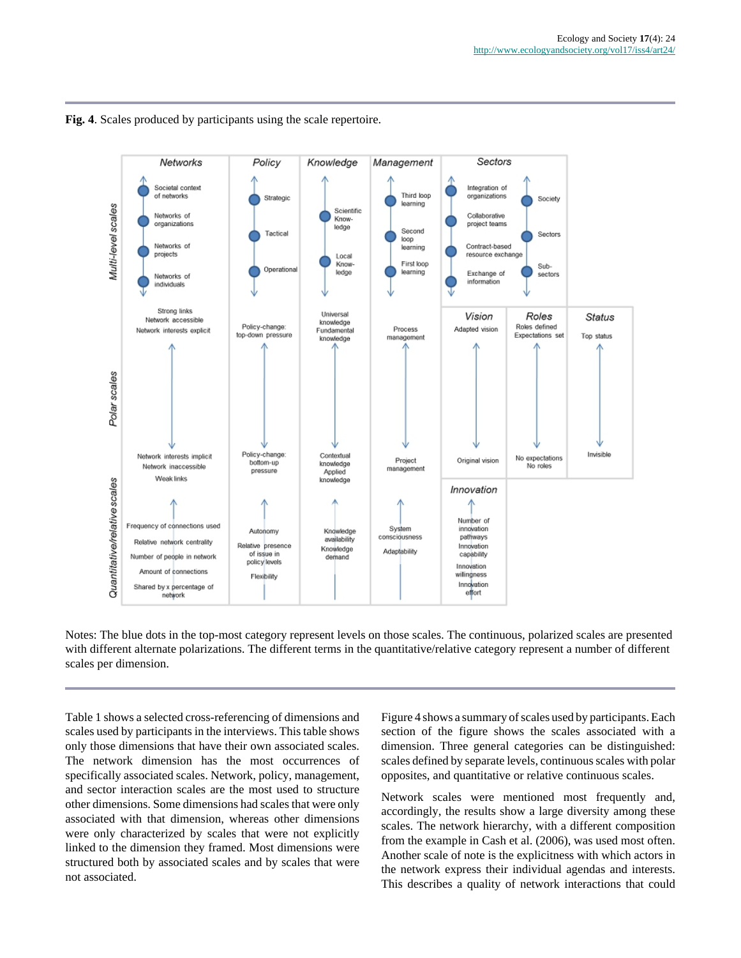

**Fig. 4**. Scales produced by participants using the scale repertoire.

Notes: The blue dots in the top-most category represent levels on those scales. The continuous, polarized scales are presented with different alternate polarizations. The different terms in the quantitative/relative category represent a number of different scales per dimension.

Table 1 shows a selected cross-referencing of dimensions and scales used by participants in the interviews. This table shows only those dimensions that have their own associated scales. The network dimension has the most occurrences of specifically associated scales. Network, policy, management, and sector interaction scales are the most used to structure other dimensions. Some dimensions had scales that were only associated with that dimension, whereas other dimensions were only characterized by scales that were not explicitly linked to the dimension they framed. Most dimensions were structured both by associated scales and by scales that were not associated.

Figure 4 shows a summary of scales used by participants. Each section of the figure shows the scales associated with a dimension. Three general categories can be distinguished: scales defined by separate levels, continuous scales with polar opposites, and quantitative or relative continuous scales.

Network scales were mentioned most frequently and, accordingly, the results show a large diversity among these scales. The network hierarchy, with a different composition from the example in Cash et al. (2006), was used most often. Another scale of note is the explicitness with which actors in the network express their individual agendas and interests. This describes a quality of network interactions that could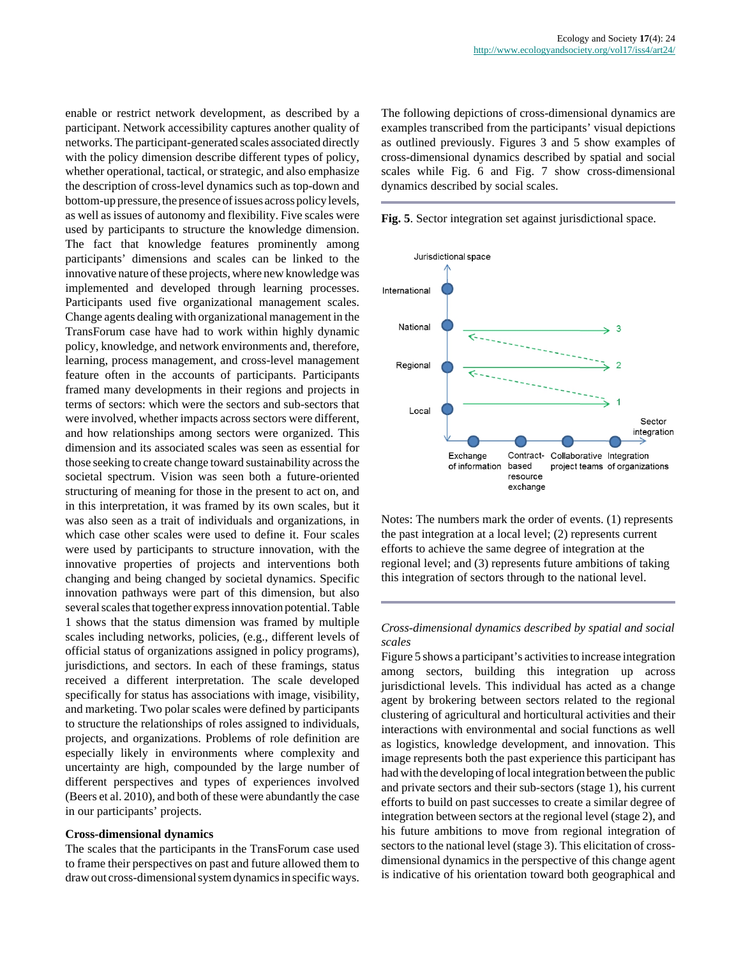enable or restrict network development, as described by a participant. Network accessibility captures another quality of networks. The participant-generated scales associated directly with the policy dimension describe different types of policy, whether operational, tactical, or strategic, and also emphasize the description of cross-level dynamics such as top-down and bottom-up pressure, the presence of issues across policy levels, as well as issues of autonomy and flexibility. Five scales were used by participants to structure the knowledge dimension. The fact that knowledge features prominently among participants' dimensions and scales can be linked to the innovative nature of these projects, where new knowledge was implemented and developed through learning processes. Participants used five organizational management scales. Change agents dealing with organizational management in the TransForum case have had to work within highly dynamic policy, knowledge, and network environments and, therefore, learning, process management, and cross-level management feature often in the accounts of participants. Participants framed many developments in their regions and projects in terms of sectors: which were the sectors and sub-sectors that were involved, whether impacts across sectors were different, and how relationships among sectors were organized. This dimension and its associated scales was seen as essential for those seeking to create change toward sustainability across the societal spectrum. Vision was seen both a future-oriented structuring of meaning for those in the present to act on, and in this interpretation, it was framed by its own scales, but it was also seen as a trait of individuals and organizations, in which case other scales were used to define it. Four scales were used by participants to structure innovation, with the innovative properties of projects and interventions both changing and being changed by societal dynamics. Specific innovation pathways were part of this dimension, but also several scales that together express innovation potential. Table 1 shows that the status dimension was framed by multiple scales including networks, policies, (e.g., different levels of official status of organizations assigned in policy programs), jurisdictions, and sectors. In each of these framings, status received a different interpretation. The scale developed specifically for status has associations with image, visibility, and marketing. Two polar scales were defined by participants to structure the relationships of roles assigned to individuals, projects, and organizations. Problems of role definition are especially likely in environments where complexity and uncertainty are high, compounded by the large number of different perspectives and types of experiences involved (Beers et al. 2010), and both of these were abundantly the case in our participants' projects.

#### **Cross-dimensional dynamics**

The scales that the participants in the TransForum case used to frame their perspectives on past and future allowed them to draw out cross-dimensional system dynamics in specific ways. The following depictions of cross-dimensional dynamics are examples transcribed from the participants' visual depictions as outlined previously. Figures 3 and 5 show examples of cross-dimensional dynamics described by spatial and social scales while Fig. 6 and Fig. 7 show cross-dimensional dynamics described by social scales.





Notes: The numbers mark the order of events. (1) represents the past integration at a local level; (2) represents current efforts to achieve the same degree of integration at the regional level; and (3) represents future ambitions of taking this integration of sectors through to the national level.

# *Cross-dimensional dynamics described by spatial and social scales*

Figure 5 shows a participant's activities to increase integration among sectors, building this integration up across jurisdictional levels. This individual has acted as a change agent by brokering between sectors related to the regional clustering of agricultural and horticultural activities and their interactions with environmental and social functions as well as logistics, knowledge development, and innovation. This image represents both the past experience this participant has had with the developing of local integration between the public and private sectors and their sub-sectors (stage 1), his current efforts to build on past successes to create a similar degree of integration between sectors at the regional level (stage 2), and his future ambitions to move from regional integration of sectors to the national level (stage 3). This elicitation of crossdimensional dynamics in the perspective of this change agent is indicative of his orientation toward both geographical and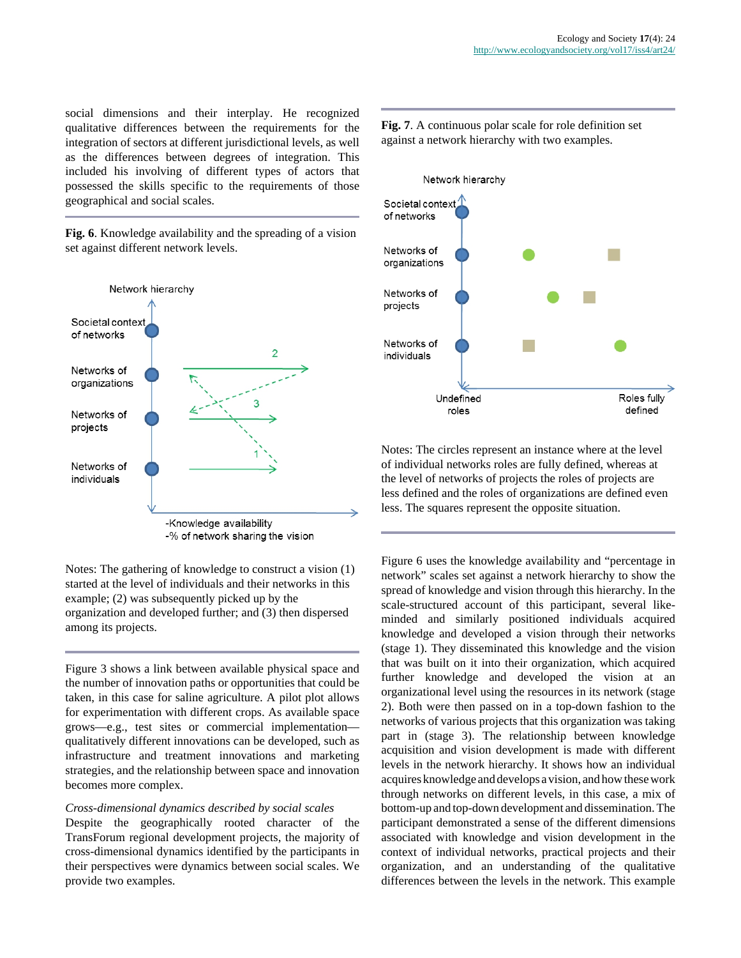social dimensions and their interplay. He recognized qualitative differences between the requirements for the integration of sectors at different jurisdictional levels, as well as the differences between degrees of integration. This included his involving of different types of actors that possessed the skills specific to the requirements of those geographical and social scales.

**Fig. 6**. Knowledge availability and the spreading of a vision set against different network levels.



Notes: The gathering of knowledge to construct a vision (1) started at the level of individuals and their networks in this example; (2) was subsequently picked up by the organization and developed further; and (3) then dispersed among its projects.

Figure 3 shows a link between available physical space and the number of innovation paths or opportunities that could be taken, in this case for saline agriculture. A pilot plot allows for experimentation with different crops. As available space grows—e.g., test sites or commercial implementation qualitatively different innovations can be developed, such as infrastructure and treatment innovations and marketing strategies, and the relationship between space and innovation becomes more complex.

# *Cross-dimensional dynamics described by social scales*

Despite the geographically rooted character of the TransForum regional development projects, the majority of cross-dimensional dynamics identified by the participants in their perspectives were dynamics between social scales. We provide two examples.

**Fig. 7**. A continuous polar scale for role definition set against a network hierarchy with two examples.



Notes: The circles represent an instance where at the level of individual networks roles are fully defined, whereas at the level of networks of projects the roles of projects are less defined and the roles of organizations are defined even less. The squares represent the opposite situation.

Figure 6 uses the knowledge availability and "percentage in network" scales set against a network hierarchy to show the spread of knowledge and vision through this hierarchy. In the scale-structured account of this participant, several likeminded and similarly positioned individuals acquired knowledge and developed a vision through their networks (stage 1). They disseminated this knowledge and the vision that was built on it into their organization, which acquired further knowledge and developed the vision at an organizational level using the resources in its network (stage 2). Both were then passed on in a top-down fashion to the networks of various projects that this organization was taking part in (stage 3). The relationship between knowledge acquisition and vision development is made with different levels in the network hierarchy. It shows how an individual acquires knowledge and develops a vision, and how these work through networks on different levels, in this case, a mix of bottom-up and top-down development and dissemination. The participant demonstrated a sense of the different dimensions associated with knowledge and vision development in the context of individual networks, practical projects and their organization, and an understanding of the qualitative differences between the levels in the network. This example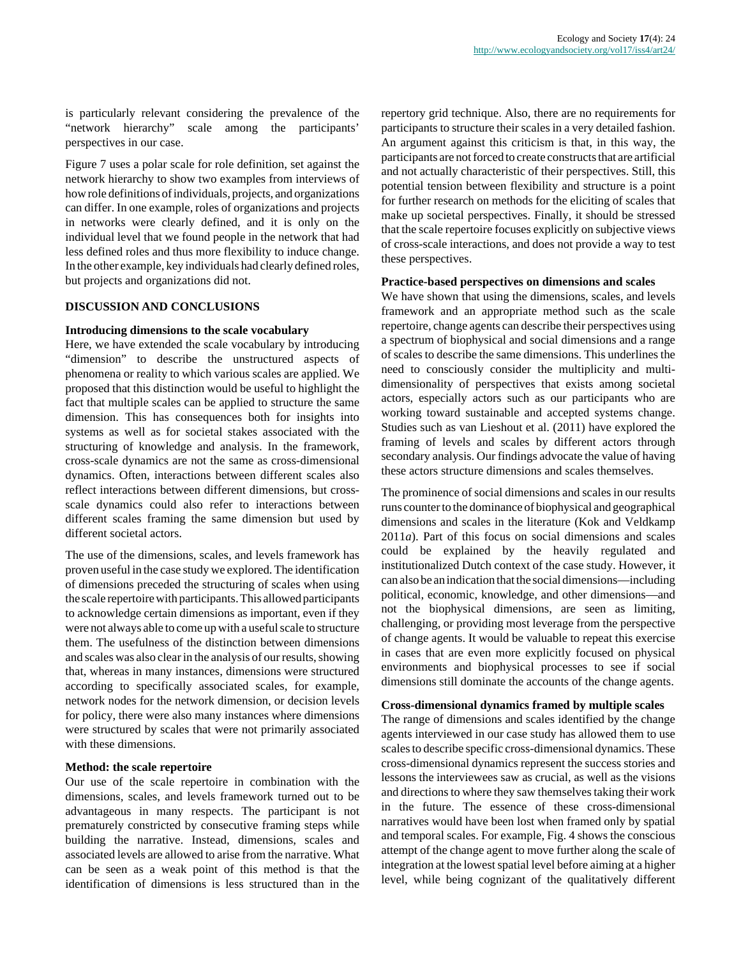is particularly relevant considering the prevalence of the "network hierarchy" scale among the participants' perspectives in our case.

Figure 7 uses a polar scale for role definition, set against the network hierarchy to show two examples from interviews of how role definitions of individuals, projects, and organizations can differ. In one example, roles of organizations and projects in networks were clearly defined, and it is only on the individual level that we found people in the network that had less defined roles and thus more flexibility to induce change. In the other example, key individuals had clearly defined roles, but projects and organizations did not.

# **DISCUSSION AND CONCLUSIONS**

#### **Introducing dimensions to the scale vocabulary**

Here, we have extended the scale vocabulary by introducing "dimension" to describe the unstructured aspects of phenomena or reality to which various scales are applied. We proposed that this distinction would be useful to highlight the fact that multiple scales can be applied to structure the same dimension. This has consequences both for insights into systems as well as for societal stakes associated with the structuring of knowledge and analysis. In the framework, cross-scale dynamics are not the same as cross-dimensional dynamics. Often, interactions between different scales also reflect interactions between different dimensions, but crossscale dynamics could also refer to interactions between different scales framing the same dimension but used by different societal actors.

The use of the dimensions, scales, and levels framework has proven useful in the case study we explored. The identification of dimensions preceded the structuring of scales when using the scale repertoire with participants. This allowed participants to acknowledge certain dimensions as important, even if they were not always able to come up with a useful scale to structure them. The usefulness of the distinction between dimensions and scales was also clear in the analysis of our results, showing that, whereas in many instances, dimensions were structured according to specifically associated scales, for example, network nodes for the network dimension, or decision levels for policy, there were also many instances where dimensions were structured by scales that were not primarily associated with these dimensions.

## **Method: the scale repertoire**

Our use of the scale repertoire in combination with the dimensions, scales, and levels framework turned out to be advantageous in many respects. The participant is not prematurely constricted by consecutive framing steps while building the narrative. Instead, dimensions, scales and associated levels are allowed to arise from the narrative. What can be seen as a weak point of this method is that the identification of dimensions is less structured than in the repertory grid technique. Also, there are no requirements for participants to structure their scales in a very detailed fashion. An argument against this criticism is that, in this way, the participants are not forced to create constructs that are artificial and not actually characteristic of their perspectives. Still, this potential tension between flexibility and structure is a point for further research on methods for the eliciting of scales that make up societal perspectives. Finally, it should be stressed that the scale repertoire focuses explicitly on subjective views of cross-scale interactions, and does not provide a way to test these perspectives.

#### **Practice-based perspectives on dimensions and scales**

We have shown that using the dimensions, scales, and levels framework and an appropriate method such as the scale repertoire, change agents can describe their perspectives using a spectrum of biophysical and social dimensions and a range of scales to describe the same dimensions. This underlines the need to consciously consider the multiplicity and multidimensionality of perspectives that exists among societal actors, especially actors such as our participants who are working toward sustainable and accepted systems change. Studies such as van Lieshout et al. (2011) have explored the framing of levels and scales by different actors through secondary analysis. Our findings advocate the value of having these actors structure dimensions and scales themselves.

The prominence of social dimensions and scales in our results runs counter to the dominance of biophysical and geographical dimensions and scales in the literature (Kok and Veldkamp 2011*a*). Part of this focus on social dimensions and scales could be explained by the heavily regulated and institutionalized Dutch context of the case study. However, it can also be an indication that the social dimensions—including political, economic, knowledge, and other dimensions—and not the biophysical dimensions, are seen as limiting, challenging, or providing most leverage from the perspective of change agents. It would be valuable to repeat this exercise in cases that are even more explicitly focused on physical environments and biophysical processes to see if social dimensions still dominate the accounts of the change agents.

#### **Cross-dimensional dynamics framed by multiple scales**

The range of dimensions and scales identified by the change agents interviewed in our case study has allowed them to use scales to describe specific cross-dimensional dynamics. These cross-dimensional dynamics represent the success stories and lessons the interviewees saw as crucial, as well as the visions and directions to where they saw themselves taking their work in the future. The essence of these cross-dimensional narratives would have been lost when framed only by spatial and temporal scales. For example, Fig. 4 shows the conscious attempt of the change agent to move further along the scale of integration at the lowest spatial level before aiming at a higher level, while being cognizant of the qualitatively different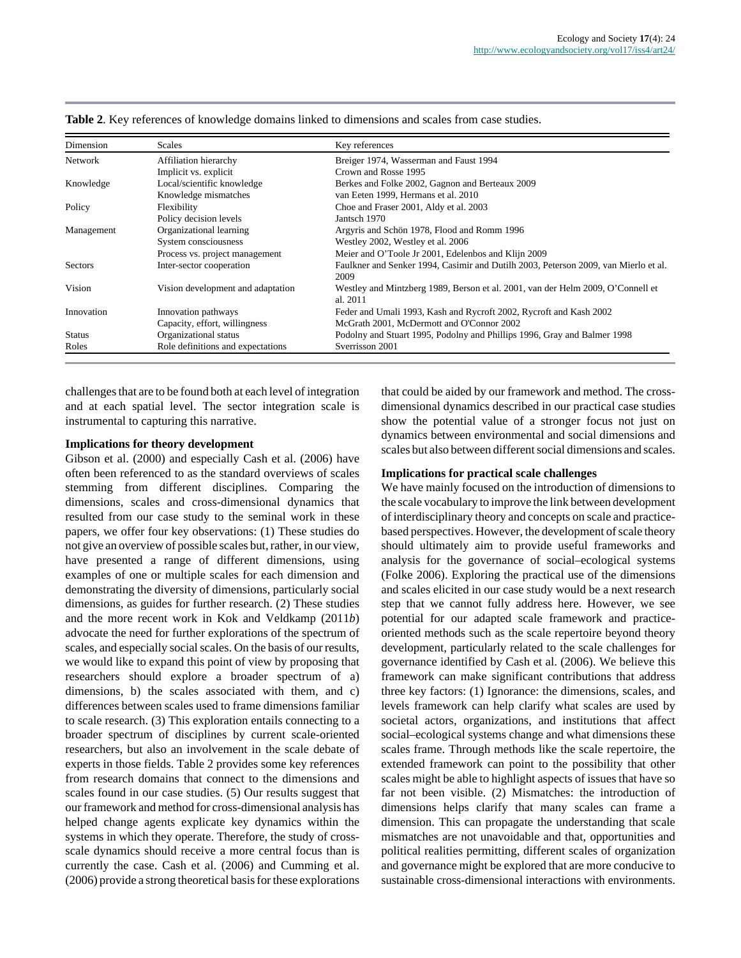| Dimension      | <b>Scales</b>                     | Key references                                                                              |  |  |  |  |  |
|----------------|-----------------------------------|---------------------------------------------------------------------------------------------|--|--|--|--|--|
| <b>Network</b> | Affiliation hierarchy             | Breiger 1974, Wasserman and Faust 1994                                                      |  |  |  |  |  |
|                | Implicit vs. explicit             | Crown and Rosse 1995                                                                        |  |  |  |  |  |
| Knowledge      | Local/scientific knowledge        | Berkes and Folke 2002, Gagnon and Berteaux 2009                                             |  |  |  |  |  |
|                | Knowledge mismatches              | van Eeten 1999, Hermans et al. 2010                                                         |  |  |  |  |  |
| Policy         | Flexibility                       | Choe and Fraser 2001, Aldy et al. 2003                                                      |  |  |  |  |  |
|                | Policy decision levels            | Jantsch 1970                                                                                |  |  |  |  |  |
| Management     | Organizational learning           | Argyris and Schön 1978, Flood and Romm 1996                                                 |  |  |  |  |  |
|                | System consciousness              | Westley 2002, Westley et al. 2006                                                           |  |  |  |  |  |
|                | Process vs. project management    | Meier and O'Toole Jr 2001, Edelenbos and Klijn 2009                                         |  |  |  |  |  |
| Sectors        | Inter-sector cooperation          | Faulkner and Senker 1994, Casimir and Dutilh 2003, Peterson 2009, van Mierlo et al.<br>2009 |  |  |  |  |  |
| Vision         | Vision development and adaptation | Westley and Mintzberg 1989, Berson et al. 2001, van der Helm 2009, O'Connell et<br>al. 2011 |  |  |  |  |  |
| Innovation     | Innovation pathways               | Feder and Umali 1993, Kash and Rycroft 2002, Rycroft and Kash 2002                          |  |  |  |  |  |
|                | Capacity, effort, willingness     | McGrath 2001, McDermott and O'Connor 2002                                                   |  |  |  |  |  |
| <b>Status</b>  | Organizational status             | Podolny and Stuart 1995, Podolny and Phillips 1996, Gray and Balmer 1998                    |  |  |  |  |  |
| Roles          | Role definitions and expectations | Sverrisson 2001                                                                             |  |  |  |  |  |

**Table 2**. Key references of knowledge domains linked to dimensions and scales from case studies.

challenges that are to be found both at each level of integration and at each spatial level. The sector integration scale is instrumental to capturing this narrative.

## **Implications for theory development**

Gibson et al. (2000) and especially Cash et al. (2006) have often been referenced to as the standard overviews of scales stemming from different disciplines. Comparing the dimensions, scales and cross-dimensional dynamics that resulted from our case study to the seminal work in these papers, we offer four key observations: (1) These studies do not give an overview of possible scales but, rather, in our view, have presented a range of different dimensions, using examples of one or multiple scales for each dimension and demonstrating the diversity of dimensions, particularly social dimensions, as guides for further research. (2) These studies and the more recent work in Kok and Veldkamp (2011*b*) advocate the need for further explorations of the spectrum of scales, and especially social scales. On the basis of our results, we would like to expand this point of view by proposing that researchers should explore a broader spectrum of a) dimensions, b) the scales associated with them, and c) differences between scales used to frame dimensions familiar to scale research. (3) This exploration entails connecting to a broader spectrum of disciplines by current scale-oriented researchers, but also an involvement in the scale debate of experts in those fields. Table 2 provides some key references from research domains that connect to the dimensions and scales found in our case studies. (5) Our results suggest that our framework and method for cross-dimensional analysis has helped change agents explicate key dynamics within the systems in which they operate. Therefore, the study of crossscale dynamics should receive a more central focus than is currently the case. Cash et al. (2006) and Cumming et al. (2006) provide a strong theoretical basis for these explorations

that could be aided by our framework and method. The crossdimensional dynamics described in our practical case studies show the potential value of a stronger focus not just on dynamics between environmental and social dimensions and scales but also between different social dimensions and scales.

#### **Implications for practical scale challenges**

We have mainly focused on the introduction of dimensions to the scale vocabulary to improve the link between development of interdisciplinary theory and concepts on scale and practicebased perspectives. However, the development of scale theory should ultimately aim to provide useful frameworks and analysis for the governance of social–ecological systems (Folke 2006). Exploring the practical use of the dimensions and scales elicited in our case study would be a next research step that we cannot fully address here. However, we see potential for our adapted scale framework and practiceoriented methods such as the scale repertoire beyond theory development, particularly related to the scale challenges for governance identified by Cash et al. (2006). We believe this framework can make significant contributions that address three key factors: (1) Ignorance: the dimensions, scales, and levels framework can help clarify what scales are used by societal actors, organizations, and institutions that affect social–ecological systems change and what dimensions these scales frame. Through methods like the scale repertoire, the extended framework can point to the possibility that other scales might be able to highlight aspects of issues that have so far not been visible. (2) Mismatches: the introduction of dimensions helps clarify that many scales can frame a dimension. This can propagate the understanding that scale mismatches are not unavoidable and that, opportunities and political realities permitting, different scales of organization and governance might be explored that are more conducive to sustainable cross-dimensional interactions with environments.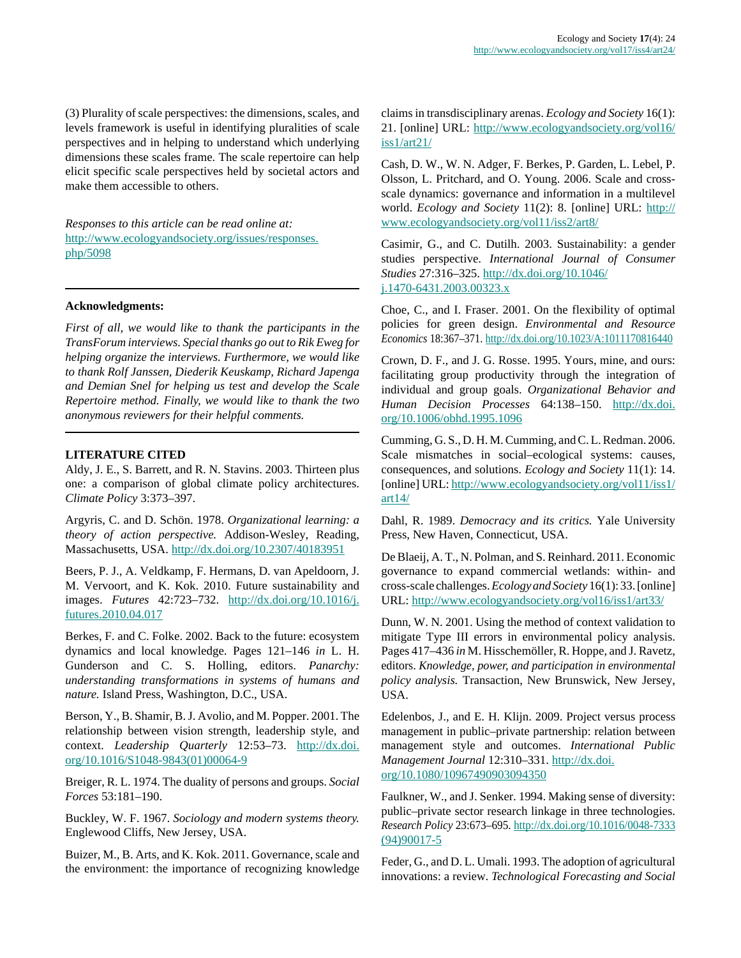(3) Plurality of scale perspectives: the dimensions, scales, and levels framework is useful in identifying pluralities of scale perspectives and in helping to understand which underlying dimensions these scales frame. The scale repertoire can help elicit specific scale perspectives held by societal actors and make them accessible to others.

*Responses to this article can be read online at:* [http://www.ecologyandsociety.org/issues/responses.](http://www.ecologyandsociety.org/issues/responses.php/5098) [php/5098](http://www.ecologyandsociety.org/issues/responses.php/5098)

# **Acknowledgments:**

*First of all, we would like to thank the participants in the TransForum interviews. Special thanks go out to Rik Eweg for helping organize the interviews. Furthermore, we would like to thank Rolf Janssen, Diederik Keuskamp, Richard Japenga and Demian Snel for helping us test and develop the Scale Repertoire method. Finally, we would like to thank the two anonymous reviewers for their helpful comments.*

# **LITERATURE CITED**

Aldy, J. E., S. Barrett, and R. N. Stavins. 2003. Thirteen plus one: a comparison of global climate policy architectures. *Climate Policy* 3:373–397.

Argyris, C. and D. Schön. 1978. *Organizational learning: a theory of action perspective.* Addison-Wesley, Reading, Massachusetts, USA. <http://dx.doi.org/10.2307/40183951>

Beers, P. J., A. Veldkamp, F. Hermans, D. van Apeldoorn, J. M. Vervoort, and K. Kok. 2010. Future sustainability and images. *Futures* 42:723–732. [http://dx.doi.org/10.1016/j.](http://dx.doi.org/10.1016/j.futures.2010.04.017) [futures.2010.04.017](http://dx.doi.org/10.1016/j.futures.2010.04.017)

Berkes, F. and C. Folke. 2002. Back to the future: ecosystem dynamics and local knowledge. Pages 121–146 *in* L. H. Gunderson and C. S. Holling, editors. *Panarchy: understanding transformations in systems of humans and nature.* Island Press, Washington, D.C., USA.

Berson, Y., B. Shamir, B. J. Avolio, and M. Popper. 2001. The relationship between vision strength, leadership style, and context. *Leadership Quarterly* 12:53–73. [http://dx.doi.](http://dx.doi.org/10.1016/S1048-9843(01)00064-9) [org/10.1016/S1048-9843\(01\)00064-9](http://dx.doi.org/10.1016/S1048-9843(01)00064-9)

Breiger, R. L. 1974. The duality of persons and groups. *Social Forces* 53:181–190.

Buckley, W. F. 1967. *Sociology and modern systems theory.* Englewood Cliffs, New Jersey, USA.

Buizer, M., B. Arts, and K. Kok. 2011. Governance, scale and the environment: the importance of recognizing knowledge claims in transdisciplinary arenas. *Ecology and Society* 16(1): 21. [online] URL: [http://www.ecologyandsociety.org/vol16/](http://www.ecologyandsociety.org/vol16/iss1/art21/) [iss1/art21/](http://www.ecologyandsociety.org/vol16/iss1/art21/)

Cash, D. W., W. N. Adger, F. Berkes, P. Garden, L. Lebel, P. Olsson, L. Pritchard, and O. Young. 2006. Scale and crossscale dynamics: governance and information in a multilevel world. *Ecology and Society* 11(2): 8. [online] URL: [http://](http://www.ecologyandsociety.org/vol11/iss2/art8/) [www.ecologyandsociety.org/vol11/iss2/art8/](http://www.ecologyandsociety.org/vol11/iss2/art8/)

Casimir, G., and C. Dutilh. 2003. Sustainability: a gender studies perspective. *International Journal of Consumer Studies* 27:316–325. [http://dx.doi.org/10.1046/](http://dx.doi.org/10.1046/j.1470-6431.2003.00323.x) [j.1470-6431.2003.00323.x](http://dx.doi.org/10.1046/j.1470-6431.2003.00323.x)

Choe, C., and I. Fraser. 2001. On the flexibility of optimal policies for green design. *Environmental and Resource Economics* 18:367–371.<http://dx.doi.org/10.1023/A:1011170816440>

Crown, D. F., and J. G. Rosse. 1995. Yours, mine, and ours: facilitating group productivity through the integration of individual and group goals. *Organizational Behavior and Human Decision Processes* 64:138–150. [http://dx.doi.](http://dx.doi.org/10.1006/obhd.1995.1096) [org/10.1006/obhd.1995.1096](http://dx.doi.org/10.1006/obhd.1995.1096)

Cumming, G. S., D. H. M. Cumming, and C. L. Redman. 2006. Scale mismatches in social–ecological systems: causes, consequences, and solutions. *Ecology and Society* 11(1): 14. [online] URL: [http://www.ecologyandsociety.org/vol11/iss1/](http://www.ecologyandsociety.org/vol11/iss1/art14/) [art14/](http://www.ecologyandsociety.org/vol11/iss1/art14/)

Dahl, R. 1989. *Democracy and its critics.* Yale University Press, New Haven, Connecticut, USA.

De Blaeij, A. T., N. Polman, and S. Reinhard. 2011. Economic governance to expand commercial wetlands: within- and cross-scale challenges. *Ecology and Society* 16(1): 33. [online] URL:<http://www.ecologyandsociety.org/vol16/iss1/art33/>

Dunn, W. N. 2001. Using the method of context validation to mitigate Type III errors in environmental policy analysis. Pages 417–436 *in* M. Hisschemöller, R. Hoppe, and J. Ravetz, editors. *Knowledge, power, and participation in environmental policy analysis.* Transaction, New Brunswick, New Jersey, USA.

Edelenbos, J., and E. H. Klijn. 2009. Project versus process management in public–private partnership: relation between management style and outcomes. *International Public Management Journal* 12:310–331. [http://dx.doi.](http://dx.doi.org/10.1080/10967490903094350) [org/10.1080/10967490903094350](http://dx.doi.org/10.1080/10967490903094350)

Faulkner, W., and J. Senker. 1994. Making sense of diversity: public–private sector research linkage in three technologies. *Research Policy* 23:673–695. [http://dx.doi.org/10.1016/0048-7333](http://dx.doi.org/10.1016/0048-7333(94)90017-5) [\(94\)90017-5](http://dx.doi.org/10.1016/0048-7333(94)90017-5)

Feder, G., and D. L. Umali. 1993. The adoption of agricultural innovations: a review. *Technological Forecasting and Social*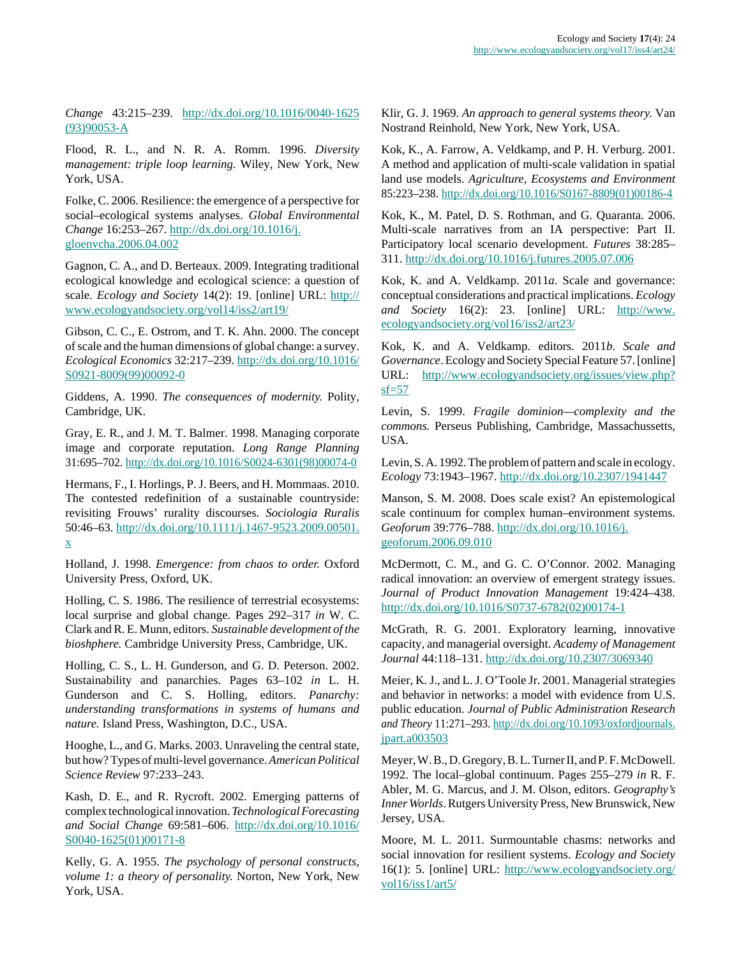*Change* 43:215–239. [http://dx.doi.org/10.1016/0040-1625](http://dx.doi.org/10.1016/0040-1625(93)90053-A) [\(93\)90053-A](http://dx.doi.org/10.1016/0040-1625(93)90053-A)

Flood, R. L., and N. R. A. Romm. 1996. *Diversity management: triple loop learning.* Wiley, New York, New York, USA.

Folke, C. 2006. Resilience: the emergence of a perspective for social–ecological systems analyses. *Global Environmental Change* 16:253–267. [http://dx.doi.org/10.1016/j.](http://dx.doi.org/10.1016/j.gloenvcha.2006.04.002) [gloenvcha.2006.04.002](http://dx.doi.org/10.1016/j.gloenvcha.2006.04.002)

Gagnon, C. A., and D. Berteaux. 2009. Integrating traditional ecological knowledge and ecological science: a question of scale. *Ecology and Society* 14(2): 19. [online] URL: [http://](http://www.ecologyandsociety.org/vol14/iss2/art19/) [www.ecologyandsociety.org/vol14/iss2/art19/](http://www.ecologyandsociety.org/vol14/iss2/art19/)

Gibson, C. C., E. Ostrom, and T. K. Ahn. 2000. The concept of scale and the human dimensions of global change: a survey. *Ecological Economics* 32:217–239. [http://dx.doi.org/10.1016/](http://dx.doi.org/10.1016/S0921-8009(99)00092-0) [S0921-8009\(99\)00092-0](http://dx.doi.org/10.1016/S0921-8009(99)00092-0)

Giddens, A. 1990. *The consequences of modernity.* Polity, Cambridge, UK.

Gray, E. R., and J. M. T. Balmer. 1998. Managing corporate image and corporate reputation. *Long Range Planning* 31:695–702. [http://dx.doi.org/10.1016/S0024-6301\(98\)00074-0](http://dx.doi.org/10.1016/S0024-6301(98)00074-0)

Hermans, F., I. Horlings, P. J. Beers, and H. Mommaas. 2010. The contested redefinition of a sustainable countryside: revisiting Frouws' rurality discourses. *Sociologia Ruralis* 50:46–63. [http://dx.doi.org/10.1111/j.1467-9523.2009.00501.](http://dx.doi.org/10.1111/j.1467-9523.2009.00501.x) [x](http://dx.doi.org/10.1111/j.1467-9523.2009.00501.x)

Holland, J. 1998. *Emergence: from chaos to order.* Oxford University Press, Oxford, UK.

Holling, C. S. 1986. The resilience of terrestrial ecosystems: local surprise and global change. Pages 292–317 *in* W. C. Clark and R. E. Munn, editors. *Sustainable development of the bioshphere.* Cambridge University Press, Cambridge, UK.

Holling, C. S., L. H. Gunderson, and G. D. Peterson. 2002. Sustainability and panarchies. Pages 63–102 *in* L. H. Gunderson and C. S. Holling, editors. *Panarchy: understanding transformations in systems of humans and nature.* Island Press, Washington, D.C., USA.

Hooghe, L., and G. Marks. 2003. Unraveling the central state, but how? Types of multi-level governance. *American Political Science Review* 97:233–243.

Kash, D. E., and R. Rycroft. 2002. Emerging patterns of complex technological innovation. *Technological Forecasting and Social Change* 69:581–606. [http://dx.doi.org/10.1016/](http://dx.doi.org/10.1016/S0040-1625(01)00171-8) [S0040-1625\(01\)00171-8](http://dx.doi.org/10.1016/S0040-1625(01)00171-8)

Kelly, G. A. 1955. *The psychology of personal constructs, volume 1: a theory of personality.* Norton, New York, New York, USA.

Klir, G. J. 1969. *An approach to general systems theory.* Van Nostrand Reinhold, New York, New York, USA.

Kok, K., A. Farrow, A. Veldkamp, and P. H. Verburg. 2001. A method and application of multi-scale validation in spatial land use models. *Agriculture, Ecosystems and Environment* 85:223–238. [http://dx.doi.org/10.1016/S0167-8809\(01\)00186-4](http://dx.doi.org/10.1016/S0167-8809(01)00186-4)

Kok, K., M. Patel, D. S. Rothman, and G. Quaranta. 2006. Multi-scale narratives from an IA perspective: Part II. Participatory local scenario development. *Futures* 38:285– 311. <http://dx.doi.org/10.1016/j.futures.2005.07.006>

Kok, K. and A. Veldkamp. 2011*a*. Scale and governance: conceptual considerations and practical implications. *Ecology and Society* 16(2): 23. [online] URL: [http://www.](http://www.ecologyandsociety.org/vol16/iss2/art23/) [ecologyandsociety.org/vol16/iss2/art23/](http://www.ecologyandsociety.org/vol16/iss2/art23/)

Kok, K. and A. Veldkamp. editors. 2011*b*. *Scale and Governance*. Ecology and Society Special Feature 57. [online] URL: [http://www.ecologyandsociety.org/issues/view.php?](http://www.ecologyandsociety.org/issues/view.php?sf=57)  $sf=57$ 

Levin, S. 1999. *Fragile dominion—complexity and the commons.* Perseus Publishing, Cambridge, Massachussetts, USA.

Levin, S. A. 1992. The problem of pattern and scale in ecology. *Ecology* 73:1943–1967.<http://dx.doi.org/10.2307/1941447>

Manson, S. M. 2008. Does scale exist? An epistemological scale continuum for complex human–environment systems. *Geoforum* 39:776–788. [http://dx.doi.org/10.1016/j.](http://dx.doi.org/10.1016/j.geoforum.2006.09.010) [geoforum.2006.09.010](http://dx.doi.org/10.1016/j.geoforum.2006.09.010)

McDermott, C. M., and G. C. O'Connor. 2002. Managing radical innovation: an overview of emergent strategy issues. *Journal of Product Innovation Management* 19:424–438. [http://dx.doi.org/10.1016/S0737-6782\(02\)00174-1](http://dx.doi.org/10.1016/S0737-6782(02)00174-1)

McGrath, R. G. 2001. Exploratory learning, innovative capacity, and managerial oversight. *Academy of Management Journal* 44:118–131.<http://dx.doi.org/10.2307/3069340>

Meier, K. J., and L. J. O'Toole Jr. 2001. Managerial strategies and behavior in networks: a model with evidence from U.S. public education. *Journal of Public Administration Research and Theory* 11:271–293. [http://dx.doi.org/10.1093/oxfordjournals.](http://dx.doi.org/10.1093/oxfordjournals.jpart.a003503) [jpart.a003503](http://dx.doi.org/10.1093/oxfordjournals.jpart.a003503)

Meyer, W. B., D. Gregory, B. L. Turner II, and P. F. McDowell. 1992. The local–global continuum. Pages 255–279 *in* R. F. Abler, M. G. Marcus, and J. M. Olson, editors. *Geography's Inner Worlds*. Rutgers University Press, New Brunswick, New Jersey, USA.

Moore, M. L. 2011. Surmountable chasms: networks and social innovation for resilient systems. *Ecology and Society* 16(1): 5. [online] URL: [http://www.ecologyandsociety.org/](http://www.ecologyandsociety.org/vol16/iss1/art5/) [vol16/iss1/art5/](http://www.ecologyandsociety.org/vol16/iss1/art5/)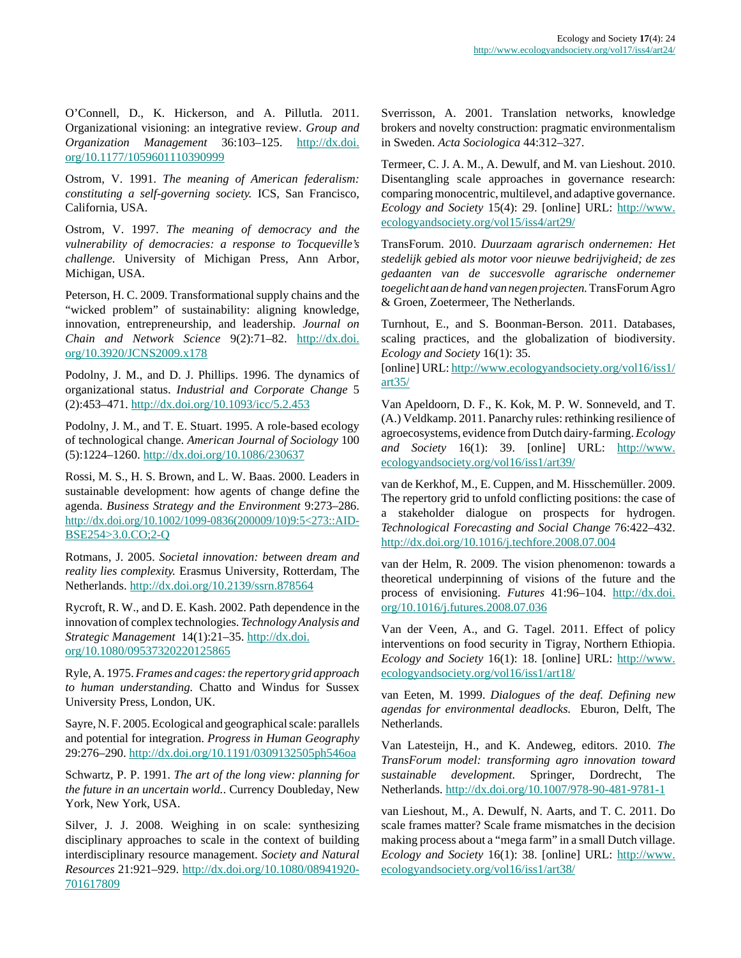O'Connell, D., K. Hickerson, and A. Pillutla. 2011. Organizational visioning: an integrative review. *Group and Organization Management* 36:103–125. [http://dx.doi.](http://dx.doi.org/10.1177/1059601110390999) [org/10.1177/1059601110390999](http://dx.doi.org/10.1177/1059601110390999)

Ostrom, V. 1991. *The meaning of American federalism: constituting a self-governing society.* ICS, San Francisco, California, USA.

Ostrom, V. 1997. *The meaning of democracy and the vulnerability of democracies: a response to Tocqueville's challenge.* University of Michigan Press, Ann Arbor, Michigan, USA.

Peterson, H. C. 2009. Transformational supply chains and the "wicked problem" of sustainability: aligning knowledge, innovation, entrepreneurship, and leadership. *Journal on Chain and Network Science* 9(2):71–82. [http://dx.doi.](http://dx.doi.org/10.3920/JCNS2009.x178) [org/10.3920/JCNS2009.x178](http://dx.doi.org/10.3920/JCNS2009.x178)

Podolny, J. M., and D. J. Phillips. 1996. The dynamics of organizational status. *Industrial and Corporate Change* 5 (2):453–471.<http://dx.doi.org/10.1093/icc/5.2.453>

Podolny, J. M., and T. E. Stuart. 1995. A role-based ecology of technological change. *American Journal of Sociology* 100 (5):1224–1260.<http://dx.doi.org/10.1086/230637>

Rossi, M. S., H. S. Brown, and L. W. Baas. 2000. Leaders in sustainable development: how agents of change define the agenda. *Business Strategy and the Environment* 9:273–286. [http://dx.doi.org/10.1002/1099-0836\(200009/10\)9:5<273::AID-](http://dx.doi.org/10.1002/1099-0836(200009/10)9:5<273::AID-BSE254>3.0.CO;2-Q)[BSE254>3.0.CO;2-Q](http://dx.doi.org/10.1002/1099-0836(200009/10)9:5<273::AID-BSE254>3.0.CO;2-Q)

Rotmans, J. 2005. *Societal innovation: between dream and reality lies complexity.* Erasmus University, Rotterdam, The Netherlands.<http://dx.doi.org/10.2139/ssrn.878564>

Rycroft, R. W., and D. E. Kash. 2002. Path dependence in the innovation of complex technologies. *Technology Analysis and Strategic Management* 14(1):21–35. [http://dx.doi.](http://dx.doi.org/10.1080/09537320220125865) [org/10.1080/09537320220125865](http://dx.doi.org/10.1080/09537320220125865)

Ryle, A. 1975. *Frames and cages: the repertory grid approach to human understanding.* Chatto and Windus for Sussex University Press, London, UK.

Sayre, N. F. 2005. Ecological and geographical scale: parallels and potential for integration. *Progress in Human Geography* 29:276–290. <http://dx.doi.org/10.1191/0309132505ph546oa>

Schwartz, P. P. 1991. *The art of the long view: planning for the future in an uncertain world.*. Currency Doubleday, New York, New York, USA.

Silver, J. J. 2008. Weighing in on scale: synthesizing disciplinary approaches to scale in the context of building interdisciplinary resource management. *Society and Natural Resources* 21:921–929. [http://dx.doi.org/10.1080/08941920-](http://dx.doi.org/10.1080/08941920701617809) [701617809](http://dx.doi.org/10.1080/08941920701617809)

Sverrisson, A. 2001. Translation networks, knowledge brokers and novelty construction: pragmatic environmentalism in Sweden. *Acta Sociologica* 44:312–327.

Termeer, C. J. A. M., A. Dewulf, and M. van Lieshout. 2010. Disentangling scale approaches in governance research: comparing monocentric, multilevel, and adaptive governance. *Ecology and Society* 15(4): 29. [online] URL: [http://www.](http://www.ecologyandsociety.org/vol15/iss4/art29/) [ecologyandsociety.org/vol15/iss4/art29/](http://www.ecologyandsociety.org/vol15/iss4/art29/)

TransForum. 2010. *Duurzaam agrarisch ondernemen: Het stedelijk gebied als motor voor nieuwe bedrijvigheid; de zes gedaanten van de succesvolle agrarische ondernemer toegelicht aan de hand van negen projecten.* TransForum Agro & Groen, Zoetermeer, The Netherlands.

Turnhout, E., and S. Boonman-Berson. 2011. Databases, scaling practices, and the globalization of biodiversity. *Ecology and Society* 16(1): 35.

[online] URL: [http://www.ecologyandsociety.org/vol16/iss1/](http://www.ecologyandsociety.org/vol16/iss1/art35/) [art35/](http://www.ecologyandsociety.org/vol16/iss1/art35/)

Van Apeldoorn, D. F., K. Kok, M. P. W. Sonneveld, and T. (A.) Veldkamp. 2011. Panarchy rules: rethinking resilience of agroecosystems, evidence from Dutch dairy-farming. *Ecology and Society* 16(1): 39. [online] URL: [http://www.](http://www.ecologyandsociety.org/vol16/iss1/art39/) [ecologyandsociety.org/vol16/iss1/art39/](http://www.ecologyandsociety.org/vol16/iss1/art39/)

van de Kerkhof, M., E. Cuppen, and M. Hisschemüller. 2009. The repertory grid to unfold conflicting positions: the case of a stakeholder dialogue on prospects for hydrogen. *Technological Forecasting and Social Change* 76:422–432. <http://dx.doi.org/10.1016/j.techfore.2008.07.004>

van der Helm, R. 2009. The vision phenomenon: towards a theoretical underpinning of visions of the future and the process of envisioning. *Futures* 41:96–104. [http://dx.doi.](http://dx.doi.org/10.1016/j.futures.2008.07.036) [org/10.1016/j.futures.2008.07.036](http://dx.doi.org/10.1016/j.futures.2008.07.036)

Van der Veen, A., and G. Tagel. 2011. Effect of policy interventions on food security in Tigray, Northern Ethiopia. *Ecology and Society* 16(1): 18. [online] URL: [http://www.](http://www.ecologyandsociety.org/vol16/iss1/art18/) [ecologyandsociety.org/vol16/iss1/art18/](http://www.ecologyandsociety.org/vol16/iss1/art18/)

van Eeten, M. 1999. *Dialogues of the deaf. Defining new agendas for environmental deadlocks.* Eburon, Delft, The Netherlands.

Van Latesteijn, H., and K. Andeweg, editors. 2010. *The TransForum model: transforming agro innovation toward sustainable development.* Springer, Dordrecht, The Netherlands.<http://dx.doi.org/10.1007/978-90-481-9781-1>

van Lieshout, M., A. Dewulf, N. Aarts, and T. C. 2011. Do scale frames matter? Scale frame mismatches in the decision making process about a "mega farm" in a small Dutch village. *Ecology and Society* 16(1): 38. [online] URL: [http://www.](http://www.ecologyandsociety.org/vol16/iss1/art38/) [ecologyandsociety.org/vol16/iss1/art38/](http://www.ecologyandsociety.org/vol16/iss1/art38/)